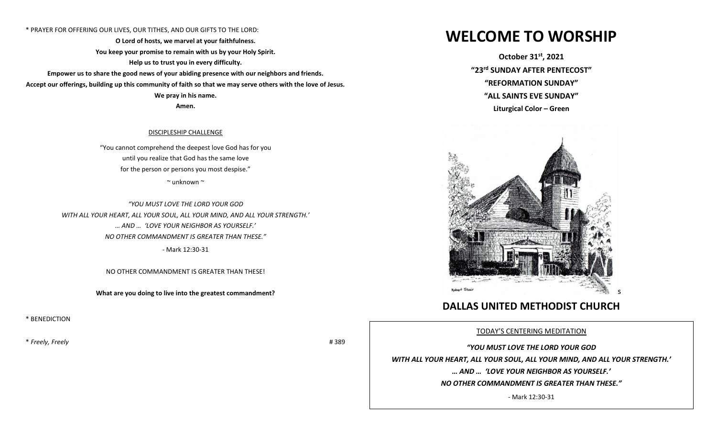## \* PRAYER FOR OFFERING OUR LIVES, OUR TITHES, AND OUR GIFTS TO THE LORD:

**O Lord of hosts, we marvel at your faithfulness. You keep your promise to remain with us by your Holy Spirit. Help us to trust you in every difficulty.** 

**Empower us to share the good news of your abiding presence with our neighbors and friends. Accept our offerings, building up this community of faith so that we may serve others with the love of Jesus. We pray in his name.** 

**Amen.**

# DISCIPLESHIP CHALLENGE

"You cannot comprehend the deepest love God has for you until you realize that God has the same love for the person or persons you most despise."

 $\sim$  unknown  $\sim$ 

*"YOU MUST LOVE THE LORD YOUR GOD WITH ALL YOUR HEART, ALL YOUR SOUL, ALL YOUR MIND, AND ALL YOUR STRENGTH.' … AND … 'LOVE YOUR NEIGHBOR AS YOURSELF.' NO OTHER COMMANDMENT IS GREATER THAN THESE."* - Mark 12:30-31

NO OTHER COMMANDMENT IS GREATER THAN THESE!

**What are you doing to live into the greatest commandment?**

\* BENEDICTION

\* *Freely, Freely* # 389

# **WELCOME TO WORSHIP**

**October 31st , 2021 "23 rd SUNDAY AFTER PENTECOST" "REFORMATION SUNDAY" "ALL SAINTS EVE SUNDAY" Liturgical Color – Green** 



# **DALLAS UNITED METHODIST CHURCH**

TODAY'S CENTERING MEDITATION

*"YOU MUST LOVE THE LORD YOUR GOD WITH ALL YOUR HEART, ALL YOUR SOUL, ALL YOUR MIND, AND ALL YOUR STRENGTH.' … AND … 'LOVE YOUR NEIGHBOR AS YOURSELF.' NO OTHER COMMANDMENT IS GREATER THAN THESE."*

- Mark 12:30-31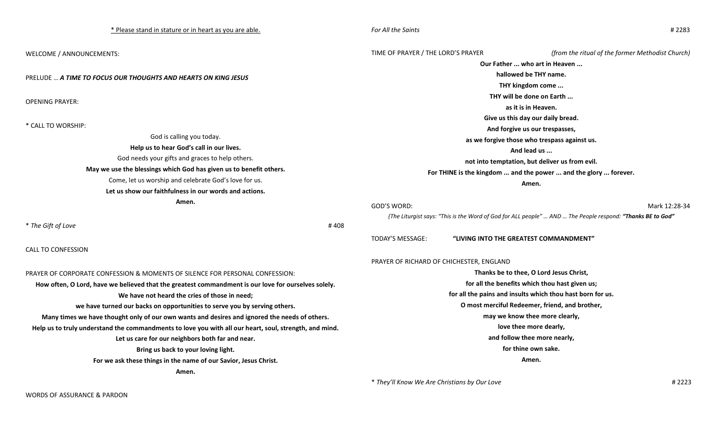| * Please stand in stature or in heart as you are able.                                                 | For All the Saints<br>#2283                                                                                |                                        |                                                  |
|--------------------------------------------------------------------------------------------------------|------------------------------------------------------------------------------------------------------------|----------------------------------------|--------------------------------------------------|
| WELCOME / ANNOUNCEMENTS:                                                                               | TIME OF PRAYER / THE LORD'S PRAYER                                                                         |                                        | (from the ritual of the former Methodist Church) |
|                                                                                                        | Our Father  who art in Heaven                                                                              |                                        |                                                  |
| PRELUDE  A TIME TO FOCUS OUR THOUGHTS AND HEARTS ON KING JESUS                                         | hallowed be THY name.                                                                                      |                                        |                                                  |
|                                                                                                        | THY kingdom come                                                                                           |                                        |                                                  |
| <b>OPENING PRAYER:</b>                                                                                 | THY will be done on Earth                                                                                  |                                        |                                                  |
|                                                                                                        | as it is in Heaven.                                                                                        |                                        |                                                  |
|                                                                                                        | Give us this day our daily bread.                                                                          |                                        |                                                  |
| * CALL TO WORSHIP:                                                                                     | And forgive us our trespasses,                                                                             |                                        |                                                  |
| God is calling you today.                                                                              | as we forgive those who trespass against us.                                                               |                                        |                                                  |
| Help us to hear God's call in our lives.                                                               | And lead us                                                                                                |                                        |                                                  |
| God needs your gifts and graces to help others.                                                        | not into temptation, but deliver us from evil.                                                             |                                        |                                                  |
| May we use the blessings which God has given us to benefit others.                                     | For THINE is the kingdom  and the power  and the glory  forever.                                           |                                        |                                                  |
| Come, let us worship and celebrate God's love for us.                                                  | Amen.                                                                                                      |                                        |                                                  |
| Let us show our faithfulness in our words and actions.                                                 |                                                                                                            |                                        |                                                  |
| Amen.                                                                                                  | GOD'S WORD:                                                                                                |                                        | Mark 12:28-34                                    |
|                                                                                                        | (The Liturgist says: "This is the Word of God for ALL people"  AND  The People respond: "Thanks BE to God" |                                        |                                                  |
| * The Gift of Love<br>#408                                                                             |                                                                                                            |                                        |                                                  |
|                                                                                                        | <b>TODAY'S MESSAGE:</b>                                                                                    | "LIVING INTO THE GREATEST COMMANDMENT" |                                                  |
| <b>CALL TO CONFESSION</b>                                                                              |                                                                                                            |                                        |                                                  |
|                                                                                                        | PRAYER OF RICHARD OF CHICHESTER, ENGLAND                                                                   |                                        |                                                  |
| PRAYER OF CORPORATE CONFESSION & MOMENTS OF SILENCE FOR PERSONAL CONFESSION:                           | Thanks be to thee, O Lord Jesus Christ,                                                                    |                                        |                                                  |
| How often, O Lord, have we believed that the greatest commandment is our love for ourselves solely.    | for all the benefits which thou hast given us;                                                             |                                        |                                                  |
| We have not heard the cries of those in need;                                                          | for all the pains and insults which thou hast born for us.                                                 |                                        |                                                  |
| we have turned our backs on opportunities to serve you by serving others.                              | O most merciful Redeemer, friend, and brother,                                                             |                                        |                                                  |
| Many times we have thought only of our own wants and desires and ignored the needs of others.          | may we know thee more clearly,                                                                             |                                        |                                                  |
| Help us to truly understand the commandments to love you with all our heart, soul, strength, and mind. | love thee more dearly,                                                                                     |                                        |                                                  |
| Let us care for our neighbors both far and near.                                                       | and follow thee more nearly,                                                                               |                                        |                                                  |
| Bring us back to your loving light.                                                                    | for thine own sake.                                                                                        |                                        |                                                  |
| For we ask these things in the name of our Savior, Jesus Christ.                                       | Amen.                                                                                                      |                                        |                                                  |
| Amen.                                                                                                  |                                                                                                            |                                        |                                                  |

\* *They'll Know We Are Christians by Our Love* # 2223

WORDS OF ASSURANCE & PARDON